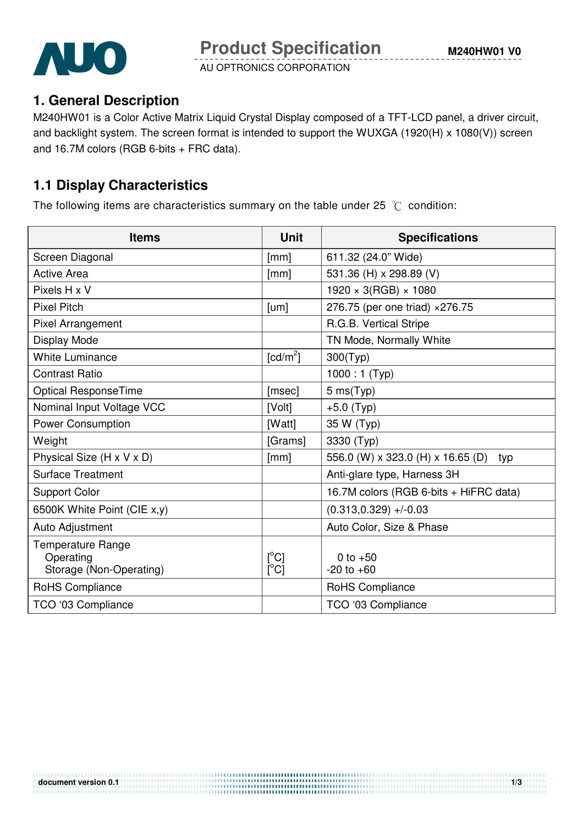

AU OPTRONICS CORPORATION

## **1. General Description**

M240HW01 is a Color Active Matrix Liquid Crystal Display composed of a TFT-LCD panel, a driver circuit, and backlight system. The screen format is intended to support the WUXGA (1920(H) x 1080(V)) screen and 16.7M colors (RGB 6-bits + FRC data).

## **1.1 Display Characteristics**

The following items are characteristics summary on the table under 25  $\degree$ C condition:

| <b>Items</b>                                                     | <b>Unit</b>          | <b>Specifications</b>                    |
|------------------------------------------------------------------|----------------------|------------------------------------------|
| Screen Diagonal                                                  | [mm]                 | 611.32 (24.0" Wide)                      |
| <b>Active Area</b>                                               | [mm]                 | 531.36 (H) x 298.89 (V)                  |
| Pixels H x V                                                     |                      | $1920 \times 3(RGB) \times 1080$         |
| <b>Pixel Pitch</b>                                               | [um]                 | 276.75 (per one triad) × 276.75          |
| Pixel Arrangement                                                |                      | R.G.B. Vertical Stripe                   |
| Display Mode                                                     |                      | TN Mode, Normally White                  |
| <b>White Luminance</b>                                           | [cd/m <sup>2</sup> ] | 300(Typ)                                 |
| <b>Contrast Ratio</b>                                            |                      | $1000:1$ (Typ)                           |
| <b>Optical ResponseTime</b>                                      | [msec]               | 5 ms(Typ)                                |
| Nominal Input Voltage VCC                                        | [Volt]               | $+5.0$ (Typ)                             |
| <b>Power Consumption</b>                                         | [Watt]               | 35 W (Typ)                               |
| Weight                                                           | [Grams]              | 3330 (Typ)                               |
| Physical Size (H x V x D)                                        | [mm]                 | 556.0 (W) x 323.0 (H) x 16.65 (D)<br>typ |
| <b>Surface Treatment</b>                                         |                      | Anti-glare type, Harness 3H              |
| <b>Support Color</b>                                             |                      | 16.7M colors (RGB 6-bits + HiFRC data)   |
| 6500K White Point (CIE x,y)                                      |                      | $(0.313, 0.329)$ +/-0.03                 |
| Auto Adjustment                                                  |                      | Auto Color, Size & Phase                 |
| <b>Temperature Range</b><br>Operating<br>Storage (Non-Operating) | [°C]<br>[°C]         | 0 to $+50$<br>$-20$ to $+60$             |
| RoHS Compliance                                                  |                      | RoHS Compliance                          |
| TCO '03 Compliance                                               |                      | TCO '03 Compliance                       |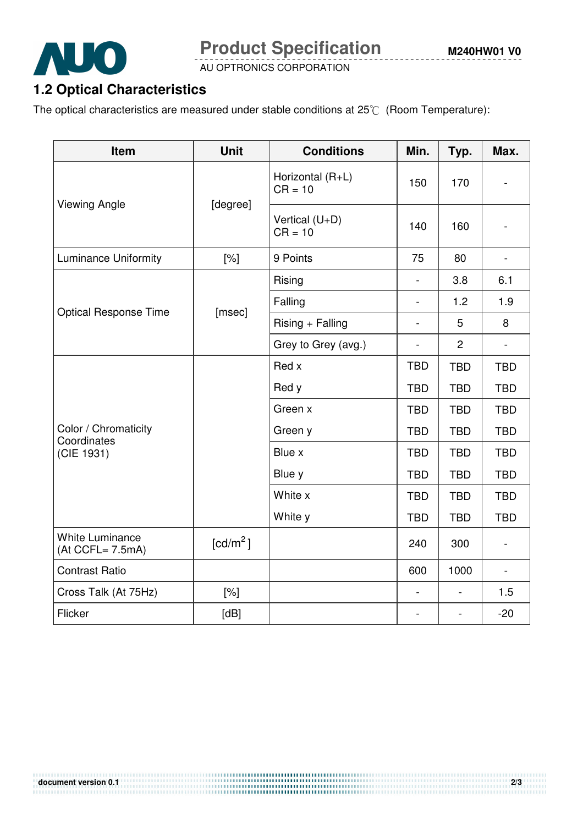

**Product Specification** 

AU OPTRONICS CORPORATION

## **1.2 Optical Characteristics**

The optical characteristics are measured under stable conditions at  $25^{\circ}C$  (Room Temperature):

| Item                                              | <b>Unit</b>          | <b>Conditions</b>             | Min.                     | Typ.                     | Max.                     |
|---------------------------------------------------|----------------------|-------------------------------|--------------------------|--------------------------|--------------------------|
| <b>Viewing Angle</b>                              | [degree]             | Horizontal (R+L)<br>$CR = 10$ | 150                      | 170                      |                          |
|                                                   |                      | Vertical (U+D)<br>$CR = 10$   | 140                      | 160                      |                          |
| <b>Luminance Uniformity</b>                       | [%]                  | 9 Points                      | 75                       | 80                       | $\overline{\phantom{a}}$ |
|                                                   | [msec]               | Rising                        | $\overline{a}$           | 3.8                      | 6.1                      |
| <b>Optical Response Time</b>                      |                      | Falling                       | $\overline{\phantom{a}}$ | 1.2                      | 1.9                      |
|                                                   |                      | $Rising + Falling$            | $\overline{\phantom{a}}$ | 5                        | 8                        |
|                                                   |                      | Grey to Grey (avg.)           | $\frac{1}{2}$            | $\overline{2}$           |                          |
| Color / Chromaticity<br>Coordinates<br>(CIE 1931) |                      | Red x                         | <b>TBD</b>               | <b>TBD</b>               | <b>TBD</b>               |
|                                                   |                      | Red y                         | <b>TBD</b>               | <b>TBD</b>               | <b>TBD</b>               |
|                                                   |                      | Green x                       | <b>TBD</b>               | <b>TBD</b>               | <b>TBD</b>               |
|                                                   |                      | Green y                       | <b>TBD</b>               | <b>TBD</b>               | <b>TBD</b>               |
|                                                   |                      | Blue x                        | <b>TBD</b>               | <b>TBD</b>               | <b>TBD</b>               |
|                                                   |                      | Blue y                        | <b>TBD</b>               | <b>TBD</b>               | <b>TBD</b>               |
|                                                   |                      | White x                       | <b>TBD</b>               | <b>TBD</b>               | <b>TBD</b>               |
|                                                   |                      | White y                       | <b>TBD</b>               | <b>TBD</b>               | <b>TBD</b>               |
| <b>White Luminance</b><br>$(At CCFL = 7.5mA)$     | [cd/m <sup>2</sup> ] |                               | 240                      | 300                      | $\overline{\phantom{0}}$ |
| <b>Contrast Ratio</b>                             |                      |                               | 600                      | 1000                     | $\blacksquare$           |
| Cross Talk (At 75Hz)                              | [%]                  |                               | $\overline{\phantom{a}}$ | $\blacksquare$           | 1.5                      |
| Flicker                                           | [dB]                 |                               | $\overline{\phantom{a}}$ | $\overline{\phantom{a}}$ | $-20$                    |